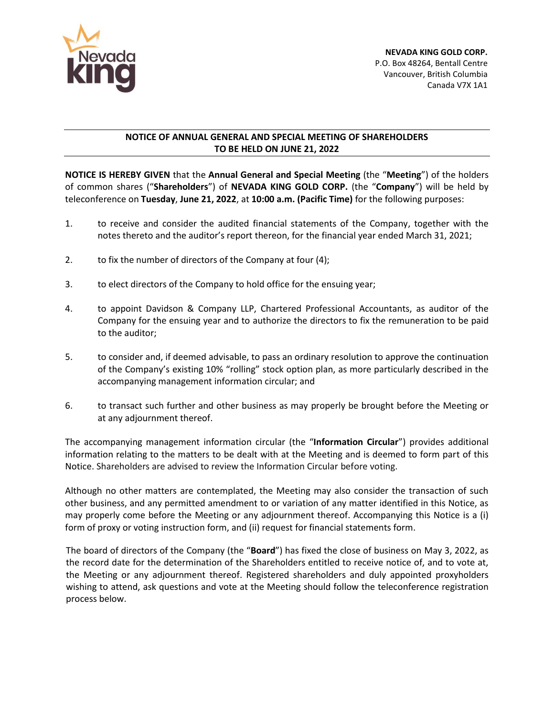

## **NOTICE OF ANNUAL GENERAL AND SPECIAL MEETING OF SHAREHOLDERS TO BE HELD ON JUNE 21, 2022**

**NOTICE IS HEREBY GIVEN** that the **Annual General and Special Meeting** (the "**Meeting**") of the holders of common shares ("**Shareholders**") of **NEVADA KING GOLD CORP.** (the "**Company**") will be held by teleconference on **Tuesday**, **June 21, 2022**, at **10:00 a.m. (Pacific Time)** for the following purposes:

- 1. to receive and consider the audited financial statements of the Company, together with the notes thereto and the auditor's report thereon, for the financial year ended March 31, 2021;
- 2. to fix the number of directors of the Company at four (4);
- 3. to elect directors of the Company to hold office for the ensuing year;
- 4. to appoint Davidson & Company LLP, Chartered Professional Accountants, as auditor of the Company for the ensuing year and to authorize the directors to fix the remuneration to be paid to the auditor;
- 5. to consider and, if deemed advisable, to pass an ordinary resolution to approve the continuation of the Company's existing 10% "rolling" stock option plan, as more particularly described in the accompanying management information circular; and
- 6. to transact such further and other business as may properly be brought before the Meeting or at any adjournment thereof.

The accompanying management information circular (the "**Information Circular**") provides additional information relating to the matters to be dealt with at the Meeting and is deemed to form part of this Notice. Shareholders are advised to review the Information Circular before voting.

Although no other matters are contemplated, the Meeting may also consider the transaction of such other business, and any permitted amendment to or variation of any matter identified in this Notice, as may properly come before the Meeting or any adjournment thereof. Accompanying this Notice is a (i) form of proxy or voting instruction form, and (ii) request for financial statements form.

The board of directors of the Company (the "**Board**") has fixed the close of business on May 3, 2022, as the record date for the determination of the Shareholders entitled to receive notice of, and to vote at, the Meeting or any adjournment thereof. Registered shareholders and duly appointed proxyholders wishing to attend, ask questions and vote at the Meeting should follow the teleconference registration process below.